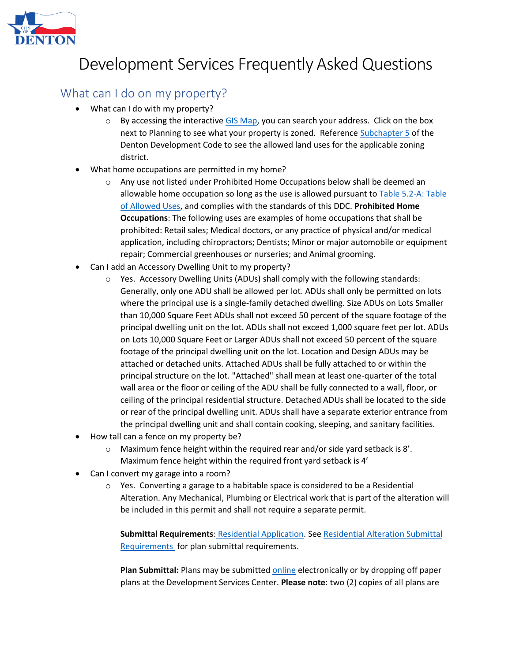

### What can I do on my property?

- What can I do with my property?
	- $\circ$  By accessing the interactive [GIS Map,](http://gis.cityofdenton.com/mapviewer/) you can search your address. Click on the box next to Planning to see what your property is zoned. Referenc[e Subchapter 5](file:///C:/Users/346757/Desktop/Subchapter%205%20Use%20Regulations.pdf) of the Denton Development Code to see the allowed land uses for the applicable zoning district.
- What home occupations are permitted in my home?
	- o Any use not listed under Prohibited Home Occupations below shall be deemed an allowable home occupation so long as the use is allowed pursuant to **Table 5.2-A: Table** [of Allowed Uses,](file:///C:/Users/346757/Desktop/DDC%20Subchapter%205%20-%20Use%20Regulations%20-%20Home%20Occupation.pdf) and complies with the standards of this DDC. **Prohibited Home Occupations**: The following uses are examples of home occupations that shall be prohibited: Retail sales; Medical doctors, or any practice of physical and/or medical application, including chiropractors; Dentists; Minor or major automobile or equipment repair; Commercial greenhouses or nurseries; and Animal grooming.
- Can I add an Accessory Dwelling Unit to my property?
	- $\circ$  Yes. Accessory Dwelling Units (ADUs) shall comply with the following standards: Generally, only one ADU shall be allowed per lot. ADUs shall only be permitted on lots where the principal use is a single-family detached dwelling. Size ADUs on Lots Smaller than 10,000 Square Feet ADUs shall not exceed 50 percent of the square footage of the principal dwelling unit on the lot. ADUs shall not exceed 1,000 square feet per lot. ADUs on Lots 10,000 Square Feet or Larger ADUs shall not exceed 50 percent of the square footage of the principal dwelling unit on the lot. Location and Design ADUs may be attached or detached units. Attached ADUs shall be fully attached to or within the principal structure on the lot. "Attached" shall mean at least one-quarter of the total wall area or the floor or ceiling of the ADU shall be fully connected to a wall, floor, or ceiling of the principal residential structure. Detached ADUs shall be located to the side or rear of the principal dwelling unit. ADUs shall have a separate exterior entrance from the principal dwelling unit and shall contain cooking, sleeping, and sanitary facilities.
- How tall can a fence on my property be?
	- o Maximum fence height within the required rear and/or side yard setback is 8'. Maximum fence height within the required front yard setback is 4'
- Can I convert my garage into a room?
	- o Yes. Converting a garage to a habitable space is considered to be a Residential Alteration. Any Mechanical, Plumbing or Electrical work that is part of the alteration will be included in this permit and shall not require a separate permit.

**Submittal Requirements**: [Residential Application.](https://lfpubweb.cityofdenton.com/publicweblink/4/edoc/42509/2017-Residential-Application_1.pdf) See [Residential Alteration Submittal](https://lfpubweb.cityofdenton.com/publicweblink/4/edoc/42508/2017-Residential-Alteration-Packet-Information-(002).pdf)  [Requirements](https://lfpubweb.cityofdenton.com/publicweblink/4/edoc/42508/2017-Residential-Alteration-Packet-Information-(002).pdf) for plan submittal requirements.

**Plan Submittal:** Plans may be submitted [online](https://www3.cityofdenton.com/etrakit3/) electronically or by dropping off paper plans at the Development Services Center. **Please note**: two (2) copies of all plans are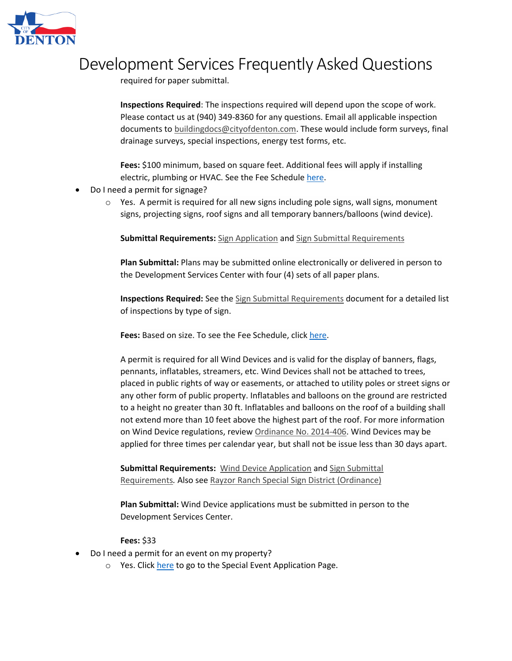

required for paper submittal.

**Inspections Required**: The inspections required will depend upon the scope of work. Please contact us at (940) 349-8360 for any questions. Email all applicable inspection documents to [buildingdocs@cityofdenton.com.](mailto:buildingdocs@cityofdenton.com) These would include form surveys, final drainage surveys, special inspections, energy test forms, etc.

**Fees:** \$100 minimum, based on square feet. Additional fees will apply if installing electric, plumbing or HVAC. See the Fee Schedule [here.](https://lfpubweb.cityofdenton.com/publicweblink/4/edoc/42672/Fee%20Schedule%204-30-21_2.pdf)

- Do I need a permit for signage?
	- $\circ$  Yes. A permit is required for all new signs including pole signs, wall signs, monument signs, projecting signs, roof signs and all temporary banners/balloons (wind device).

**Submittal Requirements:** [Sign Application](https://lfpubweb.cityofdenton.com/publicweblink/4/edoc/42474/Sign%20Permit%20Application.pdf) and [Sign Submittal Requirements](https://lfpubweb.cityofdenton.com/publicweblink/4/edoc/42475/Sign%20Permit%20Submittal%20Requirments.pdf)

**Plan Submittal:** Plans may be submitted online electronically or delivered in person to the Development Services Center with four (4) sets of all paper plans.

**Inspections Required:** See the [Sign Submittal Requirements](https://lfpubweb.cityofdenton.com/publicweblink/4/edoc/42475/Sign%20Permit%20Submittal%20Requirments.pdf) document for a detailed list of inspections by type of sign.

Fees: Based on size. To see the Fee Schedule, click [here.](https://lfpubweb.cityofdenton.com/publicweblink/4/edoc/42672/Fee%20Schedule%204-30-21_2.pdf)

A permit is required for all Wind Devices and is valid for the display of banners, flags, pennants, inflatables, streamers, etc. Wind Devices shall not be attached to trees, placed in public rights of way or easements, or attached to utility poles or street signs or any other form of public property. Inflatables and balloons on the ground are restricted to a height no greater than 30 ft. Inflatables and balloons on the roof of a building shall not extend more than 10 feet above the highest part of the roof. For more information on Wind Device regulations, review [Ordinance No. 2014-406.](https://www.cityofdenton.com/CoD/media/City-of-Denton/Business/Development%20Review/2014406SignOrdinance072220.pdf) Wind Devices may be applied for three times per calendar year, but shall not be issue less than 30 days apart.

**Submittal Requirements:** [Wind Device Application](https://lfpubweb.cityofdenton.com/publicweblink/4/edoc/42479/Wind%20Device%20Application.pdf) and [Sign Submittal](https://lfpubweb.cityofdenton.com/publicweblink/4/edoc/42475/Sign%20Permit%20Submittal%20Requirments.pdf)  [Requirements](https://lfpubweb.cityofdenton.com/publicweblink/4/edoc/42475/Sign%20Permit%20Submittal%20Requirments.pdf)*.* Also see [Rayzor Ranch Special Sign District \(Ordinance\)](https://www.cityofdenton.com/CoD/media/City-of-Denton/Business/Permits%20and%20Licenses/Commercial%20Permits/Rayzor-Ranch-Sign-Ordinance.pdf)

**Plan Submittal:** Wind Device applications must be submitted in person to the Development Services Center.

#### **Fees:** \$33

- Do I need a permit for an event on my property?
	- $\circ$  Yes. Clic[k here](https://www.cityofdenton.com/en-us/all-departments/quality-of-life/parks-recreation-(1)/book-rent-reserve/special-events) to go to the Special Event Application Page.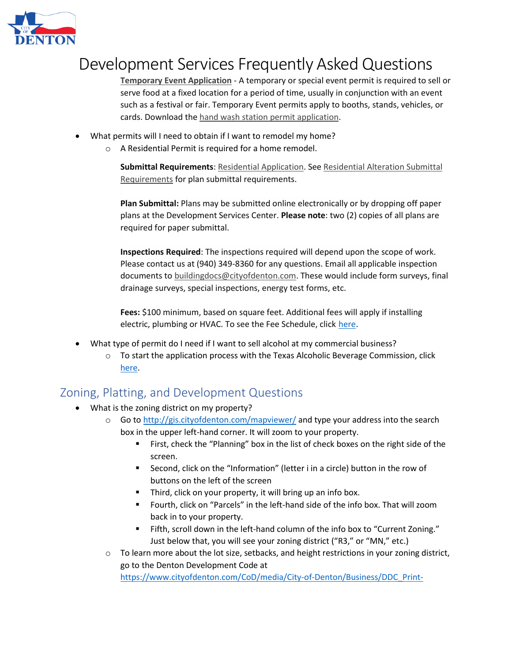

**[Temporary Event Application](https://lfpubweb.cityofdenton.com/publicweblink/4/edoc/42494/Special-Event-application-Updated.pdf)** - A temporary or special event permit is required to sell or serve food at a fixed location for a period of time, usually in conjunction with an event such as a festival or fair. Temporary Event permits apply to booths, stands, vehicles, or cards. Download the [hand wash station permit application.](https://www.cityofdenton.com/CoD/media/City-of-Denton/Business/Permits%20and%20Licenses/Health%20Permits/Handwash-Station.pdf)

- What permits will I need to obtain if I want to remodel my home?
	- o A Residential Permit is required for a home remodel.

**Submittal Requirements**: [Residential Application.](https://lfpubweb.cityofdenton.com/publicweblink/4/edoc/42509/2017-Residential-Application_1.pdf) See [Residential Alteration Submittal](https://lfpubweb.cityofdenton.com/publicweblink/4/edoc/42508/2017-Residential-Alteration-Packet-Information-(002).pdf)  [Requirements](https://lfpubweb.cityofdenton.com/publicweblink/4/edoc/42508/2017-Residential-Alteration-Packet-Information-(002).pdf) for plan submittal requirements.

**Plan Submittal:** Plans may be submitted online electronically or by dropping off paper plans at the Development Services Center. **Please note**: two (2) copies of all plans are required for paper submittal.

**Inspections Required**: The inspections required will depend upon the scope of work. Please contact us at (940) 349-8360 for any questions. Email all applicable inspection documents to [buildingdocs@cityofdenton.com.](mailto:buildingdocs@cityofdenton.com) These would include form surveys, final drainage surveys, special inspections, energy test forms, etc.

**Fees:** \$100 minimum, based on square feet. Additional fees will apply if installing electric, plumbing or HVAC. To see the Fee Schedule, click [here](https://lfpubweb.cityofdenton.com/publicweblink/4/edoc/42672/Fee%20Schedule%204-30-21_2.pdf).

- What type of permit do I need if I want to sell alcohol at my commercial business?
	- $\circ$  To start the application process with the Texas Alcoholic Beverage Commission, click [here.](https://www.tabc.texas.gov/)

### Zoning, Platting, and Development Questions

- What is the zoning district on my property?
	- $\circ$  Go to<http://gis.cityofdenton.com/mapviewer/> and type your address into the search box in the upper left-hand corner. It will zoom to your property.
		- First, check the "Planning" box in the list of check boxes on the right side of the screen.
		- Second, click on the "Information" (letter i in a circle) button in the row of buttons on the left of the screen
		- Third, click on your property, it will bring up an info box.
		- Fourth, click on "Parcels" in the left-hand side of the info box. That will zoom back in to your property.
		- Fifth, scroll down in the left-hand column of the info box to "Current Zoning." Just below that, you will see your zoning district ("R3," or "MN," etc.)
	- $\circ$  To learn more about the lot size, setbacks, and height restrictions in your zoning district, go to the Denton Development Code at [https://www.cityofdenton.com/CoD/media/City-of-Denton/Business/DDC\\_Print-](https://www.cityofdenton.com/CoD/media/City-of-Denton/Business/DDC_Print-Date_Feb5_2020.pdf)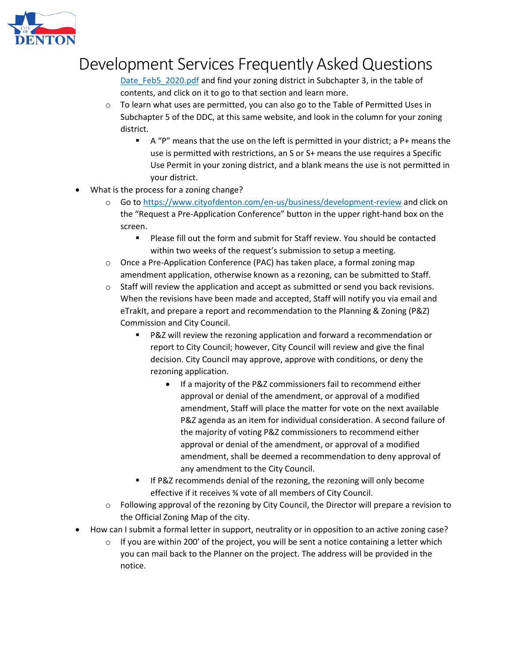

Date Feb5 2020.pdf and find your zoning district in Subchapter 3, in the table of contents, and click on it to go to that section and learn more.

- $\circ$  To learn what uses are permitted, you can also go to the Table of Permitted Uses in Subchapter 5 of the DDC, at this same website, and look in the column for your zoning district.
	- A "P" means that the use on the left is permitted in your district; a P+ means the use is permitted with restrictions, an S or S+ means the use requires a Specific Use Permit in your zoning district, and a blank means the use is not permitted in your district.
- What is the process for a zoning change?
	- o Go to<https://www.cityofdenton.com/en-us/business/development-review> and click on the "Request a Pre-Application Conference" button in the upper right-hand box on the screen.
		- Please fill out the form and submit for Staff review. You should be contacted within two weeks of the request's submission to setup a meeting.
	- o Once a Pre-Application Conference (PAC) has taken place, a formal zoning map amendment application, otherwise known as a rezoning, can be submitted to Staff.
	- $\circ$  Staff will review the application and accept as submitted or send you back revisions. When the revisions have been made and accepted, Staff will notify you via email and eTrakIt, and prepare a report and recommendation to the Planning & Zoning (P&Z) Commission and City Council.
		- P&Z will review the rezoning application and forward a recommendation or report to City Council; however, City Council will review and give the final decision. City Council may approve, approve with conditions, or deny the rezoning application.
			- If a majority of the P&Z commissioners fail to recommend either approval or denial of the amendment, or approval of a modified amendment, Staff will place the matter for vote on the next available P&Z agenda as an item for individual consideration. A second failure of the majority of voting P&Z commissioners to recommend either approval or denial of the amendment, or approval of a modified amendment, shall be deemed a recommendation to deny approval of any amendment to the City Council.
		- If P&Z recommends denial of the rezoning, the rezoning will only become effective if it receives ¾ vote of all members of City Council.
	- o Following approval of the rezoning by City Council, the Director will prepare a revision to the Official Zoning Map of the city.
- How can I submit a formal letter in support, neutrality or in opposition to an active zoning case?
	- $\circ$  If you are within 200' of the project, you will be sent a notice containing a letter which you can mail back to the Planner on the project. The address will be provided in the notice.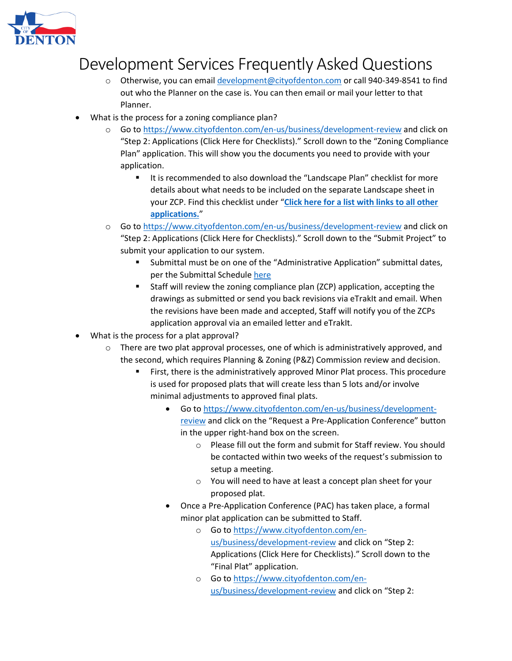

- o Otherwise, you can email [development@cityofdenton.com](mailto:development@cityofdenton.com) or call 940-349-8541 to find out who the Planner on the case is. You can then email or mail your letter to that Planner.
- What is the process for a zoning compliance plan?
	- Go to<https://www.cityofdenton.com/en-us/business/development-review> and click on "Step 2: Applications (Click Here for Checklists)." Scroll down to the "Zoning Compliance Plan" application. This will show you the documents you need to provide with your application.
		- It is recommended to also download the "Landscape Plan" checklist for more details about what needs to be included on the separate Landscape sheet in your ZCP. Find this checklist under "**[Click here for a list with links to all other](https://lfpubweb.cityofdenton.com/publicweblink/4/edoc/42760/Additional-Applications-List_6_4_2021.pdf)  [applications.](https://lfpubweb.cityofdenton.com/publicweblink/4/edoc/42760/Additional-Applications-List_6_4_2021.pdf)**"
	- o Go to<https://www.cityofdenton.com/en-us/business/development-review> and click on "Step 2: Applications (Click Here for Checklists)." Scroll down to the "Submit Project" to submit your application to our system.
		- Submittal must be on one of the "Administrative Application" submittal dates, per the Submittal Schedul[e here](https://www.cityofdenton.com/CoD/media/City-of-Denton/Business/Administrative-Approval-Schedule-7-1-21-xlsb.pdf)
		- Staff will review the zoning compliance plan (ZCP) application, accepting the drawings as submitted or send you back revisions via eTrakIt and email. When the revisions have been made and accepted, Staff will notify you of the ZCPs application approval via an emailed letter and eTrakIt.
- What is the process for a plat approval?
	- $\circ$  There are two plat approval processes, one of which is administratively approved, and the second, which requires Planning & Zoning (P&Z) Commission review and decision.
		- **EXECT:** First, there is the administratively approved Minor Plat process. This procedure is used for proposed plats that will create less than 5 lots and/or involve minimal adjustments to approved final plats.
			- Go to [https://www.cityofdenton.com/en-us/business/development](https://www.cityofdenton.com/en-us/business/development-review)[review](https://www.cityofdenton.com/en-us/business/development-review) and click on the "Request a Pre-Application Conference" button in the upper right-hand box on the screen.
				- o Please fill out the form and submit for Staff review. You should be contacted within two weeks of the request's submission to setup a meeting.
				- o You will need to have at least a concept plan sheet for your proposed plat.
			- Once a Pre-Application Conference (PAC) has taken place, a formal minor plat application can be submitted to Staff.
				- o Go to [https://www.cityofdenton.com/en](https://www.cityofdenton.com/en-us/business/development-review)[us/business/development-review](https://www.cityofdenton.com/en-us/business/development-review) and click on "Step 2: Applications (Click Here for Checklists)." Scroll down to the "Final Plat" application.
				- o Go to [https://www.cityofdenton.com/en](https://www.cityofdenton.com/en-us/business/development-review)[us/business/development-review](https://www.cityofdenton.com/en-us/business/development-review) and click on "Step 2: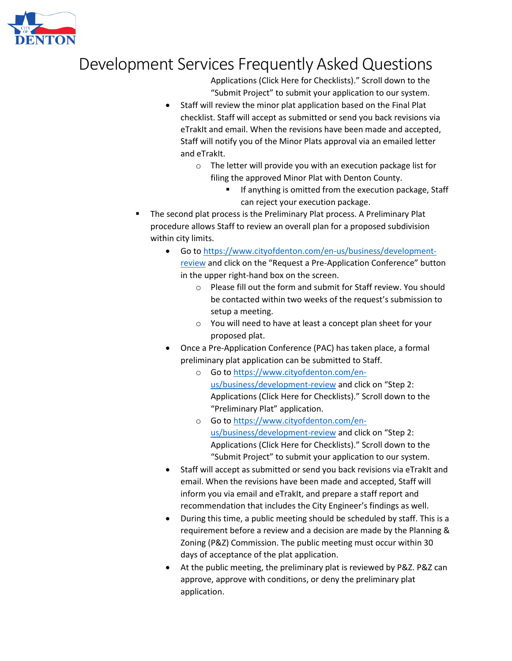

Applications (Click Here for Checklists)." Scroll down to the "Submit Project" to submit your application to our system.

- Staff will review the minor plat application based on the Final Plat checklist. Staff will accept as submitted or send you back revisions via eTrakIt and email. When the revisions have been made and accepted, Staff will notify you of the Minor Plats approval via an emailed letter and eTrakIt.
	- o The letter will provide you with an execution package list for filing the approved Minor Plat with Denton County.
		- If anything is omitted from the execution package, Staff can reject your execution package.
- The second plat process is the Preliminary Plat process. A Preliminary Plat procedure allows Staff to review an overall plan for a proposed subdivision within city limits.
	- Go to [https://www.cityofdenton.com/en-us/business/development](https://www.cityofdenton.com/en-us/business/development-review)[review](https://www.cityofdenton.com/en-us/business/development-review) and click on the "Request a Pre-Application Conference" button in the upper right-hand box on the screen.
		- o Please fill out the form and submit for Staff review. You should be contacted within two weeks of the request's submission to setup a meeting.
		- o You will need to have at least a concept plan sheet for your proposed plat.
	- Once a Pre-Application Conference (PAC) has taken place, a formal preliminary plat application can be submitted to Staff.
		- o Go to [https://www.cityofdenton.com/en](https://www.cityofdenton.com/en-us/business/development-review)[us/business/development-review](https://www.cityofdenton.com/en-us/business/development-review) and click on "Step 2: Applications (Click Here for Checklists)." Scroll down to the "Preliminary Plat" application.
		- o Go to [https://www.cityofdenton.com/en](https://www.cityofdenton.com/en-us/business/development-review)[us/business/development-review](https://www.cityofdenton.com/en-us/business/development-review) and click on "Step 2: Applications (Click Here for Checklists)." Scroll down to the "Submit Project" to submit your application to our system.
	- Staff will accept as submitted or send you back revisions via eTrakIt and email. When the revisions have been made and accepted, Staff will inform you via email and eTrakIt, and prepare a staff report and recommendation that includes the City Engineer's findings as well.
	- During this time, a public meeting should be scheduled by staff. This is a requirement before a review and a decision are made by the Planning & Zoning (P&Z) Commission. The public meeting must occur within 30 days of acceptance of the plat application.
	- At the public meeting, the preliminary plat is reviewed by P&Z. P&Z can approve, approve with conditions, or deny the preliminary plat application.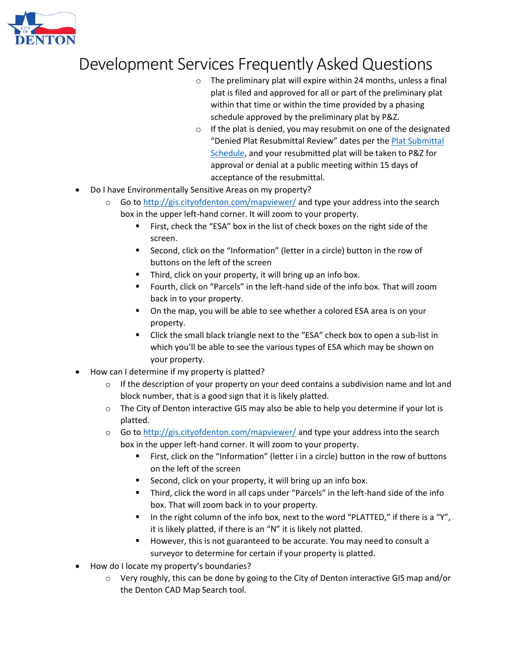

- $\circ$  The preliminary plat will expire within 24 months, unless a final plat is filed and approved for all or part of the preliminary plat within that time or within the time provided by a phasing schedule approved by the preliminary plat by P&Z.
- $\circ$  If the plat is denied, you may resubmit on one of the designated "Denied Plat Resubmittal Review" dates per the [Plat Submittal](https://www.cityofdenton.com/CoD/media/City-of-Denton/Business/Platting-External-Schedule-Updated-7-1-21-xlsb.pdf)  [Schedule,](https://www.cityofdenton.com/CoD/media/City-of-Denton/Business/Platting-External-Schedule-Updated-7-1-21-xlsb.pdf) and your resubmitted plat will be taken to P&Z for approval or denial at a public meeting within 15 days of acceptance of the resubmittal.
- Do I have Environmentally Sensitive Areas on my property?
	- $\circ$  Go to<http://gis.cityofdenton.com/mapviewer/> and type your address into the search box in the upper left-hand corner. It will zoom to your property.
		- First, check the "ESA" box in the list of check boxes on the right side of the screen.
		- Second, click on the "Information" (letter in a circle) button in the row of buttons on the left of the screen
		- Third, click on your property, it will bring up an info box.
		- Fourth, click on "Parcels" in the left-hand side of the info box. That will zoom back in to your property.
		- On the map, you will be able to see whether a colored ESA area is on your property.
		- Click the small black triangle next to the "ESA" check box to open a sub-list in which you'll be able to see the various types of ESA which may be shown on your property.
- How can I determine if my property is platted?
	- $\circ$  If the description of your property on your deed contains a subdivision name and lot and block number, that is a good sign that it is likely platted.
	- $\circ$  The City of Denton interactive GIS may also be able to help you determine if your lot is platted.
	- $\circ$  Go to<http://gis.cityofdenton.com/mapviewer/> and type your address into the search box in the upper left-hand corner. It will zoom to your property.
		- First, click on the "Information" (letter i in a circle) button in the row of buttons on the left of the screen
		- Second, click on your property, it will bring up an info box.
		- Third, click the word in all caps under "Parcels" in the left-hand side of the info box. That will zoom back in to your property.
		- In the right column of the info box, next to the word "PLATTED," if there is a "Y", it is likely platted, if there is an "N" it is likely not platted.
		- However, this is not guaranteed to be accurate. You may need to consult a surveyor to determine for certain if your property is platted.
- How do I locate my property's boundaries?
	- $\circ$  Very roughly, this can be done by going to the City of Denton interactive GIS map and/or the Denton CAD Map Search tool.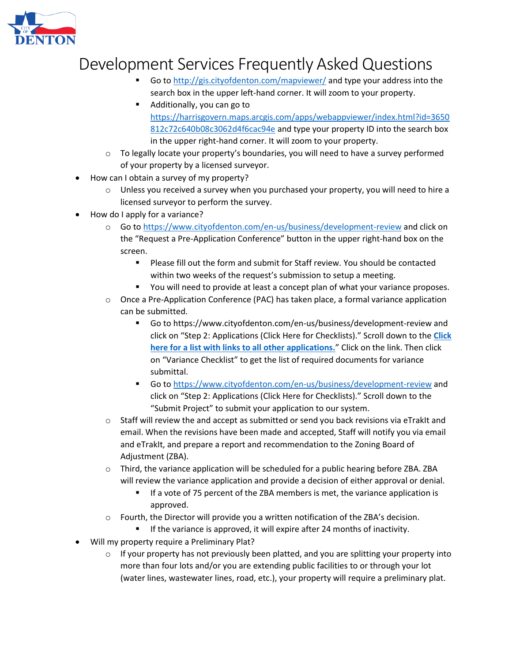

- Go to<http://gis.cityofdenton.com/mapviewer/> and type your address into the search box in the upper left-hand corner. It will zoom to your property.
- Additionally, you can go to [https://harrisgovern.maps.arcgis.com/apps/webappviewer/index.html?id=3650](https://harrisgovern.maps.arcgis.com/apps/webappviewer/index.html?id=3650812c72c640b08c3062d4f6cac94e) [812c72c640b08c3062d4f6cac94e](https://harrisgovern.maps.arcgis.com/apps/webappviewer/index.html?id=3650812c72c640b08c3062d4f6cac94e) and type your property ID into the search box in the upper right-hand corner. It will zoom to your property.
- $\circ$  To legally locate your property's boundaries, you will need to have a survey performed of your property by a licensed surveyor.
- How can I obtain a survey of my property?
	- o Unless you received a survey when you purchased your property, you will need to hire a licensed surveyor to perform the survey.
- How do I apply for a variance?
	- o Go to<https://www.cityofdenton.com/en-us/business/development-review> and click on the "Request a Pre-Application Conference" button in the upper right-hand box on the screen.
		- Please fill out the form and submit for Staff review. You should be contacted within two weeks of the request's submission to setup a meeting.
		- You will need to provide at least a concept plan of what your variance proposes.
	- $\circ$  Once a Pre-Application Conference (PAC) has taken place, a formal variance application can be submitted.
		- Go to https://www.cityofdenton.com/en-us/business/development-review and click on "Step 2: Applications (Click Here for Checklists)." Scroll down to the **[Click](https://lfpubweb.cityofdenton.com/publicweblink/4/edoc/42760/Additional-Applications-List_6_4_2021.pdf)  [here for a list with links to all other applications.](https://lfpubweb.cityofdenton.com/publicweblink/4/edoc/42760/Additional-Applications-List_6_4_2021.pdf)**" Click on the link. Then click on "Variance Checklist" to get the list of required documents for variance submittal.
		- Go to<https://www.cityofdenton.com/en-us/business/development-review> and click on "Step 2: Applications (Click Here for Checklists)." Scroll down to the "Submit Project" to submit your application to our system.
	- $\circ$  Staff will review the and accept as submitted or send you back revisions via eTrakIt and email. When the revisions have been made and accepted, Staff will notify you via email and eTrakIt, and prepare a report and recommendation to the Zoning Board of Adjustment (ZBA).
	- $\circ$  Third, the variance application will be scheduled for a public hearing before ZBA. ZBA will review the variance application and provide a decision of either approval or denial.
		- If a vote of 75 percent of the ZBA members is met, the variance application is approved.
	- $\circ$  Fourth, the Director will provide you a written notification of the ZBA's decision.
		- **E** If the variance is approved, it will expire after 24 months of inactivity.
- Will my property require a Preliminary Plat?
	- $\circ$  If your property has not previously been platted, and you are splitting your property into more than four lots and/or you are extending public facilities to or through your lot (water lines, wastewater lines, road, etc.), your property will require a preliminary plat.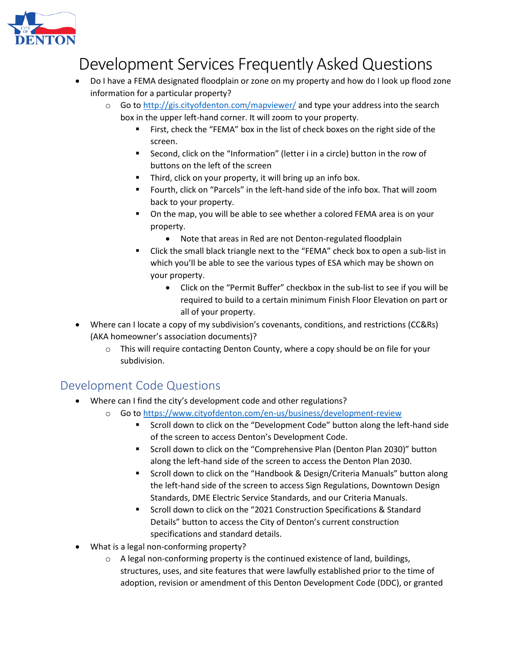

- Do I have a FEMA designated floodplain or zone on my property and how do I look up flood zone information for a particular property?
	- $\circ$  Go to<http://gis.cityofdenton.com/mapviewer/> and type your address into the search box in the upper left-hand corner. It will zoom to your property.
		- First, check the "FEMA" box in the list of check boxes on the right side of the screen.
		- Second, click on the "Information" (letter i in a circle) button in the row of buttons on the left of the screen
		- Third, click on your property, it will bring up an info box.
		- Fourth, click on "Parcels" in the left-hand side of the info box. That will zoom back to your property.
		- On the map, you will be able to see whether a colored FEMA area is on your property.
			- Note that areas in Red are not Denton-regulated floodplain
		- Click the small black triangle next to the "FEMA" check box to open a sub-list in which you'll be able to see the various types of ESA which may be shown on your property.
			- Click on the "Permit Buffer" checkbox in the sub-list to see if you will be required to build to a certain minimum Finish Floor Elevation on part or all of your property.
- Where can I locate a copy of my subdivision's covenants, conditions, and restrictions (CC&Rs) (AKA homeowner's association documents)?
	- o This will require contacting Denton County, where a copy should be on file for your subdivision.

### Development Code Questions

- Where can I find the city's development code and other regulations?
	- o Go to<https://www.cityofdenton.com/en-us/business/development-review>
		- Scroll down to click on the "Development Code" button along the left-hand side of the screen to access Denton's Development Code.
		- Scroll down to click on the "Comprehensive Plan (Denton Plan 2030)" button along the left-hand side of the screen to access the Denton Plan 2030.
		- Scroll down to click on the "Handbook & Design/Criteria Manuals" button along the left-hand side of the screen to access Sign Regulations, Downtown Design Standards, DME Electric Service Standards, and our Criteria Manuals.
		- Scroll down to click on the "2021 Construction Specifications & Standard Details" button to access the City of Denton's current construction specifications and standard details.
- What is a legal non-conforming property?
	- o A legal non-conforming property is the continued existence of land, buildings, structures, uses, and site features that were lawfully established prior to the time of adoption, revision or amendment of this Denton Development Code (DDC), or granted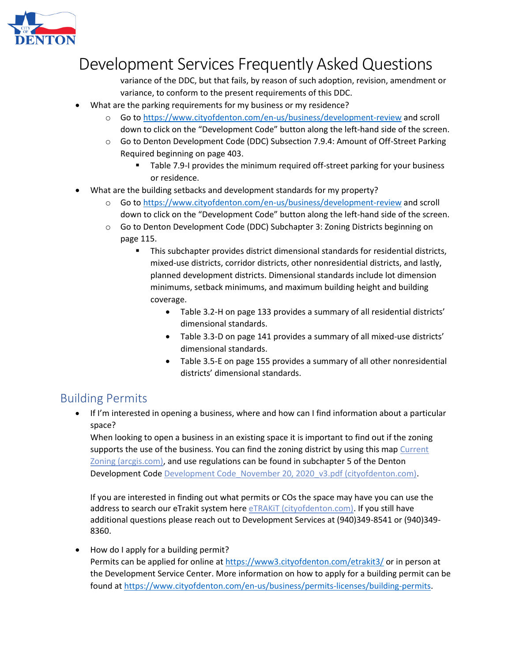

variance of the DDC, but that fails, by reason of such adoption, revision, amendment or variance, to conform to the present requirements of this DDC.

- What are the parking requirements for my business or my residence?
	- o Go to<https://www.cityofdenton.com/en-us/business/development-review> and scroll down to click on the "Development Code" button along the left-hand side of the screen.
	- o Go to Denton Development Code (DDC) Subsection 7.9.4: Amount of Off-Street Parking Required beginning on page 403.
		- Table 7.9-I provides the minimum required off-street parking for your business or residence.
- What are the building setbacks and development standards for my property?
	- o Go to<https://www.cityofdenton.com/en-us/business/development-review> and scroll down to click on the "Development Code" button along the left-hand side of the screen.
	- o Go to Denton Development Code (DDC) Subchapter 3: Zoning Districts beginning on page 115.
		- This subchapter provides district dimensional standards for residential districts, mixed-use districts, corridor districts, other nonresidential districts, and lastly, planned development districts. Dimensional standards include lot dimension minimums, setback minimums, and maximum building height and building coverage.
			- Table 3.2-H on page 133 provides a summary of all residential districts' dimensional standards.
			- Table 3.3-D on page 141 provides a summary of all mixed-use districts' dimensional standards.
			- Table 3.5-E on page 155 provides a summary of all other nonresidential districts' dimensional standards.

### Building Permits

• If I'm interested in opening a business, where and how can I find information about a particular space?

When looking to open a business in an existing space it is important to find out if the zoning supports the use of the business. You can find the zoning district by using this map Current [Zoning \(arcgis.com\),](https://dentontxgis.maps.arcgis.com/apps/webappviewer/index.html?id=0569414a92cc47469688a6fc31b5e3e5) and use regulations can be found in subchapter 5 of the Denton Development Cod[e Development Code\\_November 20, 2020\\_v3.pdf \(cityofdenton.com\).](https://lfpubweb.cityofdenton.com/publicweblink/4/edoc/40427/Development%20Code_November%2020,%202020_v3.pdf)

If you are interested in finding out what permits or COs the space may have you can use the address to search our eTrakit system here eTRAKIT (cityofdenton.com). If you still have additional questions please reach out to Development Services at (940)349-8541 or (940)349-8360.

• How do I apply for a building permit? Permits can be applied for online a[t https://www3.cityofdenton.com/etrakit3/](https://www3.cityofdenton.com/etrakit3/) or in person at the Development Service Center. More information on how to apply for a building permit can be found a[t https://www.cityofdenton.com/en-us/business/permits-licenses/building-permits.](https://www.cityofdenton.com/en-us/business/permits-licenses/building-permits)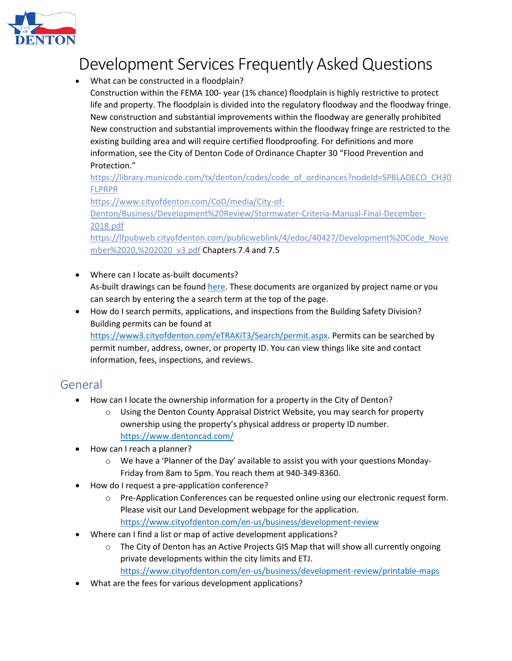

- What can be constructed in a floodplain?
	- Construction within the FEMA 100- year (1% chance) floodplain is highly restrictive to protect life and property. The floodplain is divided into the regulatory floodway and the floodway fringe. New construction and substantial improvements within the floodway are generally prohibited New construction and substantial improvements within the floodway fringe are restricted to the existing building area and will require certified floodproofing. For definitions and more information, see the City of Denton Code of Ordinance Chapter 30 "Flood Prevention and Protection."

[https://library.municode.com/tx/denton/codes/code\\_of\\_ordinances?nodeId=SPBLADECO\\_CH30](https://library.municode.com/tx/denton/codes/code_of_ordinances?nodeId=SPBLADECO_CH30FLPRPR) [FLPRPR](https://library.municode.com/tx/denton/codes/code_of_ordinances?nodeId=SPBLADECO_CH30FLPRPR)

[https://www.cityofdenton.com/CoD/media/City-of-](https://www.cityofdenton.com/CoD/media/City-of-Denton/Business/Development%20Review/Stormwater-Criteria-Manual-Final-December-2018.pdf)

[Denton/Business/Development%20Review/Stormwater-Criteria-Manual-Final-December-](https://www.cityofdenton.com/CoD/media/City-of-Denton/Business/Development%20Review/Stormwater-Criteria-Manual-Final-December-2018.pdf)[2018.pdf](https://www.cityofdenton.com/CoD/media/City-of-Denton/Business/Development%20Review/Stormwater-Criteria-Manual-Final-December-2018.pdf)

[https://lfpubweb.cityofdenton.com/publicweblink/4/edoc/40427/Development%20Code\\_Nove](https://lfpubweb.cityofdenton.com/publicweblink/4/edoc/40427/Development%20Code_November%2020,%202020_v3.pdf) [mber%2020,%202020\\_v3.pdf](https://lfpubweb.cityofdenton.com/publicweblink/4/edoc/40427/Development%20Code_November%2020,%202020_v3.pdf) Chapters 7.4 and 7.5

- Where can I locate as-built documents? As-built drawings can be foun[d here.](http://lfpubweb.cityofdenton.com/PublicWeblink/Browse.aspx?dbid=2&startid=5622&row=1&cr=1) These documents are organized by project name or you can search by entering the a search term at the top of the page.
- How do I search permits, applications, and inspections from the Building Safety Division? Building permits can be found at [https://www3.cityofdenton.com/eTRAKiT3/Search/permit.aspx.](https://www3.cityofdenton.com/eTRAKiT3/Search/permit.aspx) Permits can be searched by permit number, address, owner, or property ID. You can view things like site and contact information, fees, inspections, and reviews.

### General

- How can I locate the ownership information for a property in the City of Denton?
	- o Using the Denton County Appraisal District Website, you may search for property ownership using the property's physical address or property ID number. <https://www.dentoncad.com/>
- How can I reach a planner?
	- $\circ$  We have a 'Planner of the Day' available to assist you with your questions Monday-Friday from 8am to 5pm. You reach them at 940-349-8360.
- How do I request a pre-application conference?
	- o Pre-Application Conferences can be requested online using our electronic request form. Please visit our Land Development webpage for the application. <https://www.cityofdenton.com/en-us/business/development-review>
- Where can I find a list or map of active development applications?
	- o The City of Denton has an Active Projects GIS Map that will show all currently ongoing private developments within the city limits and ETJ. <https://www.cityofdenton.com/en-us/business/development-review/printable-maps>
- What are the fees for various development applications?